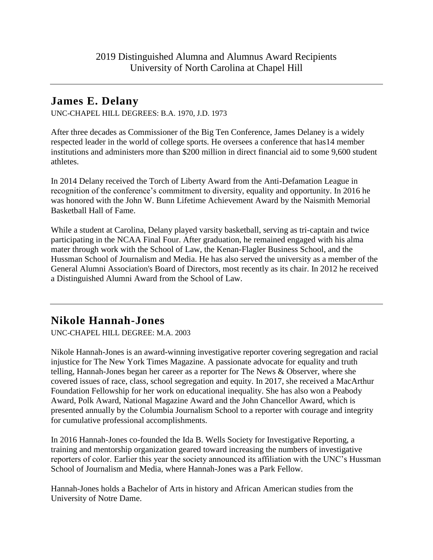## **James E. Delany**

UNC-CHAPEL HILL DEGREES: B.A. 1970, J.D. 1973

After three decades as Commissioner of the Big Ten Conference, James Delaney is a widely respected leader in the world of college sports. He oversees a conference that has14 member institutions and administers more than \$200 million in direct financial aid to some 9,600 student athletes.

In 2014 Delany received the Torch of Liberty Award from the Anti-Defamation League in recognition of the conference's commitment to diversity, equality and opportunity. In 2016 he was honored with the John W. Bunn Lifetime Achievement Award by the Naismith Memorial Basketball Hall of Fame.

While a student at Carolina, Delany played varsity basketball, serving as tri-captain and twice participating in the NCAA Final Four. After graduation, he remained engaged with his alma mater through work with the School of Law, the Kenan-Flagler Business School, and the Hussman School of Journalism and Media. He has also served the university as a member of the General Alumni Association's Board of Directors, most recently as its chair. In 2012 he received a Distinguished Alumni Award from the School of Law.

## **Nikole Hannah-Jones**

UNC-CHAPEL HILL DEGREE: M.A. 2003

Nikole Hannah-Jones is an award-winning investigative reporter covering segregation and racial injustice for The New York Times Magazine. A passionate advocate for equality and truth telling, Hannah-Jones began her career as a reporter for The News & Observer, where she covered issues of race, class, school segregation and equity. In 2017, she received a MacArthur Foundation Fellowship for her work on educational inequality. She has also won a Peabody Award, Polk Award, National Magazine Award and the John Chancellor Award, which is presented annually by the Columbia Journalism School to a reporter with courage and integrity for cumulative professional accomplishments.

In 2016 Hannah-Jones co-founded the Ida B. Wells Society for Investigative Reporting, a training and mentorship organization geared toward increasing the numbers of investigative reporters of color. Earlier this year the society announced its affiliation with the UNC's Hussman School of Journalism and Media, where Hannah-Jones was a Park Fellow.

Hannah-Jones holds a Bachelor of Arts in history and African American studies from the University of Notre Dame.